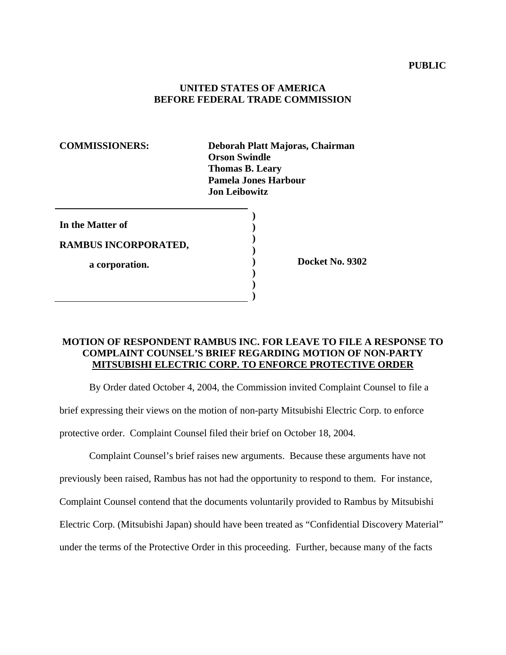## **UNITED STATES OF AMERICA BEFORE FEDERAL TRADE COMMISSION**

**COMMISSIONERS: Deborah Platt Majoras, Chairman Orson Swindle Thomas B. Leary Pamela Jones Harbour Jon Leibowitz** 

| In the Matter of     |  |
|----------------------|--|
| RAMBUS INCORPORATED, |  |
| a corporation.       |  |
|                      |  |

**) Docket No. 9302** 

## **MOTION OF RESPONDENT RAMBUS INC. FOR LEAVE TO FILE A RESPONSE TO COMPLAINT COUNSEL'S BRIEF REGARDING MOTION OF NON-PARTY MITSUBISHI ELECTRIC CORP. TO ENFORCE PROTECTIVE ORDER**

By Order dated October 4, 2004, the Commission invited Complaint Counsel to file a

brief expressing their views on the motion of non-party Mitsubishi Electric Corp. to enforce

protective order. Complaint Counsel filed their brief on October 18, 2004.

Complaint Counsel's brief raises new arguments. Because these arguments have not previously been raised, Rambus has not had the opportunity to respond to them. For instance, Complaint Counsel contend that the documents voluntarily provided to Rambus by Mitsubishi Electric Corp. (Mitsubishi Japan) should have been treated as "Confidential Discovery Material" under the terms of the Protective Order in this proceeding. Further, because many of the facts